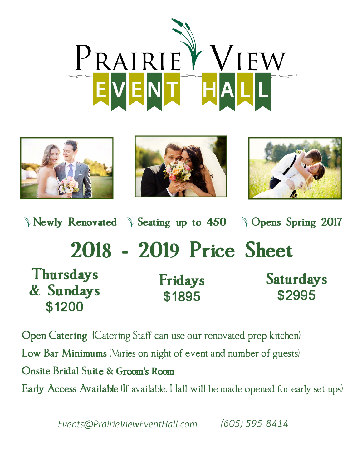







**)** Newly Renovated  $\rightarrow$  Seating up to 450  $\rightarrow$  Opens Spring 2017 **Thursdays**  & **Sundays \$1200 2018 - 2019 Price Sheet Fridays \$1895 Saturdays \$2995** 

**Open Catering** (Catering Staff can use our renovated prep kitchen) **Low Bar Minimums** (Varies on night of event and number of guests) **Onsite Bridal Suit**e **& G**room**'**s **R**oom Early Access Available If available, Hall will be made opened for early set ups)

*Events@Pra;r;ev;ewEventHall.com (605) 595-8414*